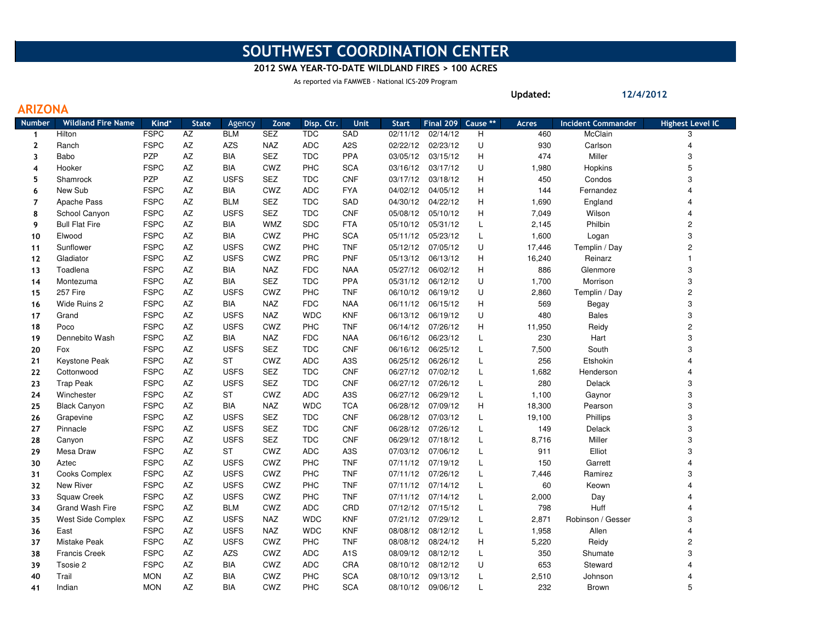## SOUTHWEST COORDINATION CENTER

## 2012 SWA YEAR-TO-DATE WILDLAND FIRES > 100 ACRES

As reported via FAMWEB - National ICS-209 Program

ARIZONA

Updated:

12/4/2012

| Number                  | <b>Wildland Fire Name</b> | Kind*       | <b>State</b> | Agency      | Zone       | Disp. Ctr. | <b>Unit</b>      | <b>Start</b> | Final 209 | Cause ** | <b>Acres</b> | <b>Incident Commander</b> | <b>Highest Level IC</b> |
|-------------------------|---------------------------|-------------|--------------|-------------|------------|------------|------------------|--------------|-----------|----------|--------------|---------------------------|-------------------------|
| $\overline{\mathbf{1}}$ | Hilton                    | <b>FSPC</b> | ΑZ           | <b>BLM</b>  | <b>SEZ</b> | <b>TDC</b> | SAD              | 02/11/12     | 02/14/12  | н        | 460          | McClain                   | 3                       |
| $\mathbf{2}$            | Ranch                     | <b>FSPC</b> | AZ           | <b>AZS</b>  | <b>NAZ</b> | ADC        | A <sub>2</sub> S | 02/22/12     | 02/23/12  | U        | 930          | Carlson                   | 4                       |
| 3                       | Babo                      | <b>PZP</b>  | AZ           | <b>BIA</b>  | SEZ        | <b>TDC</b> | PPA              | 03/05/12     | 03/15/12  | н        | 474          | Miller                    | 3                       |
| 4                       | Hooker                    | <b>FSPC</b> | AZ           | <b>BIA</b>  | CWZ        | PHC        | <b>SCA</b>       | 03/16/12     | 03/17/12  | U        | 1,980        | Hopkins                   | 5                       |
| 5                       | Shamrock                  | PZP         | AZ           | <b>USFS</b> | <b>SEZ</b> | <b>TDC</b> | <b>CNF</b>       | 03/17/12     | 03/18/12  | н        | 450          | Condos                    | 3                       |
| 6                       | New Sub                   | <b>FSPC</b> | AZ           | <b>BIA</b>  | CWZ        | <b>ADC</b> | <b>FYA</b>       | 04/02/12     | 04/05/12  | н        | 144          | Fernandez                 | 4                       |
| $\overline{7}$          | Apache Pass               | <b>FSPC</b> | AZ           | <b>BLM</b>  | <b>SEZ</b> | <b>TDC</b> | SAD              | 04/30/12     | 04/22/12  | н        | 1,690        | England                   | 4                       |
| 8                       | School Canyon             | <b>FSPC</b> | AZ           | <b>USFS</b> | <b>SEZ</b> | <b>TDC</b> | <b>CNF</b>       | 05/08/12     | 05/10/12  | н        | 7,049        | Wilson                    | 4                       |
| 9                       | <b>Bull Flat Fire</b>     | <b>FSPC</b> | AZ           | <b>BIA</b>  | <b>WMZ</b> | <b>SDC</b> | <b>FTA</b>       | 05/10/12     | 05/31/12  | Г        | 2,145        | Philbin                   | 2                       |
| 10                      | Elwood                    | <b>FSPC</b> | AZ           | <b>BIA</b>  | CWZ        | PHC        | <b>SCA</b>       | 05/11/12     | 05/23/12  | Г        | 1,600        | Logan                     | 3                       |
| 11                      | Sunflower                 | <b>FSPC</b> | AZ           | <b>USFS</b> | CWZ        | <b>PHC</b> | <b>TNF</b>       | 05/12/12     | 07/05/12  | U        | 17,446       | Templin / Day             | 2                       |
| 12                      | Gladiator                 | <b>FSPC</b> | AZ           | <b>USFS</b> | CWZ        | PRC        | <b>PNF</b>       | 05/13/12     | 06/13/12  | н        | 16,240       | Reinarz                   | $\mathbf{1}$            |
| 13                      | Toadlena                  | <b>FSPC</b> | AZ           | <b>BIA</b>  | <b>NAZ</b> | <b>FDC</b> | <b>NAA</b>       | 05/27/12     | 06/02/12  | н        | 886          | Glenmore                  | 3                       |
| 14                      | Montezuma                 | <b>FSPC</b> | AZ           | <b>BIA</b>  | SEZ        | <b>TDC</b> | PPA              | 05/31/12     | 06/12/12  | U        | 1,700        | Morrison                  | 3                       |
| 15                      | 257 Fire                  | <b>FSPC</b> | AZ           | <b>USFS</b> | CWZ        | PHC        | <b>TNF</b>       | 06/10/12     | 06/19/12  | U        | 2,860        | Templin / Day             | 2                       |
| 16                      | Wide Ruins 2              | <b>FSPC</b> | AZ           | <b>BIA</b>  | <b>NAZ</b> | <b>FDC</b> | <b>NAA</b>       | 06/11/12     | 06/15/12  | н        | 569          | Begay                     | 3                       |
| 17                      | Grand                     | <b>FSPC</b> | AZ           | <b>USFS</b> | <b>NAZ</b> | <b>WDC</b> | <b>KNF</b>       | 06/13/12     | 06/19/12  | U        | 480          | <b>Bales</b>              | 3                       |
| 18                      | Poco                      | <b>FSPC</b> | AZ           | <b>USFS</b> | CWZ        | PHC        | <b>TNF</b>       | 06/14/12     | 07/26/12  | н        | 11,950       | Reidy                     | 2                       |
| 19                      | Dennebito Wash            | <b>FSPC</b> | AZ           | <b>BIA</b>  | <b>NAZ</b> | <b>FDC</b> | <b>NAA</b>       | 06/16/12     | 06/23/12  | L        | 230          | Hart                      | 3                       |
| 20                      | Fox                       | <b>FSPC</b> | AZ           | <b>USFS</b> | <b>SEZ</b> | <b>TDC</b> | <b>CNF</b>       | 06/16/12     | 06/25/12  | Г        | 7,500        | South                     | 3                       |
| 21                      | Keystone Peak             | <b>FSPC</b> | AZ           | ST          | CWZ        | <b>ADC</b> | A <sub>3</sub> S | 06/25/12     | 06/26/12  | L        | 256          | Etshokin                  | 4                       |
| 22                      | Cottonwood                | <b>FSPC</b> | AZ           | <b>USFS</b> | <b>SEZ</b> | <b>TDC</b> | <b>CNF</b>       | 06/27/12     | 07/02/12  | Г        | 1,682        | Henderson                 | 4                       |
| 23                      | <b>Trap Peak</b>          | <b>FSPC</b> | AZ           | <b>USFS</b> | <b>SEZ</b> | <b>TDC</b> | <b>CNF</b>       | 06/27/12     | 07/26/12  | Г        | 280          | Delack                    | 3                       |
| 24                      | Winchester                | <b>FSPC</b> | AZ           | <b>ST</b>   | CWZ        | <b>ADC</b> | A <sub>3</sub> S | 06/27/12     | 06/29/12  | L        | 1,100        | Gaynor                    | 3                       |
| 25                      | <b>Black Canyon</b>       | <b>FSPC</b> | AZ           | <b>BIA</b>  | <b>NAZ</b> | <b>WDC</b> | <b>TCA</b>       | 06/28/12     | 07/09/12  | H        | 18,300       | Pearson                   | 3                       |
| 26                      | Grapevine                 | <b>FSPC</b> | AZ           | <b>USFS</b> | <b>SEZ</b> | <b>TDC</b> | <b>CNF</b>       | 06/28/12     | 07/03/12  | Г        | 19,100       | Phillips                  | 3                       |
| 27                      | Pinnacle                  | <b>FSPC</b> | AZ           | <b>USFS</b> | <b>SEZ</b> | <b>TDC</b> | <b>CNF</b>       | 06/28/12     | 07/26/12  | Г        | 149          | Delack                    | 3                       |
| 28                      | Canyon                    | <b>FSPC</b> | AZ           | <b>USFS</b> | SEZ        | <b>TDC</b> | <b>CNF</b>       | 06/29/12     | 07/18/12  | L        | 8,716        | Miller                    | 3                       |
| 29                      | Mesa Draw                 | <b>FSPC</b> | AZ           | <b>ST</b>   | CWZ        | ADC        | A <sub>3</sub> S | 07/03/12     | 07/06/12  | L        | 911          | Elliot                    | 3                       |
| 30                      | Aztec                     | <b>FSPC</b> | AZ           | <b>USFS</b> | CWZ        | PHC        | <b>TNF</b>       | 07/11/12     | 07/19/12  | Г        | 150          | Garrett                   | 4                       |
| 31                      | Cooks Complex             | <b>FSPC</b> | AZ           | <b>USFS</b> | CWZ        | PHC        | <b>TNF</b>       | 07/11/12     | 07/26/12  | Г        | 7,446        | Ramirez                   | 3                       |
| 32                      | New River                 | <b>FSPC</b> | AZ           | <b>USFS</b> | CWZ        | PHC        | <b>TNF</b>       | 07/11/12     | 07/14/12  | L        | 60           | Keown                     | 4                       |
| 33                      | <b>Squaw Creek</b>        | <b>FSPC</b> | AZ           | <b>USFS</b> | CWZ        | PHC        | <b>TNF</b>       | 07/11/12     | 07/14/12  | Г        | 2,000        | Day                       | 4                       |
| 34                      | Grand Wash Fire           | <b>FSPC</b> | AZ           | <b>BLM</b>  | CWZ        | <b>ADC</b> | CRD              | 07/12/12     | 07/15/12  | Г        | 798          | Huff                      | 4                       |
| 35                      | West Side Complex         | <b>FSPC</b> | AZ           | <b>USFS</b> | <b>NAZ</b> | <b>WDC</b> | <b>KNF</b>       | 07/21/12     | 07/29/12  | Г        | 2,871        | Robinson / Gesser         | 3                       |
| 36                      | East                      | <b>FSPC</b> | AZ           | <b>USFS</b> | <b>NAZ</b> | <b>WDC</b> | <b>KNF</b>       | 08/08/12     | 08/12/12  | L        | 1,958        | Allen                     | 4                       |
| 37                      | Mistake Peak              | <b>FSPC</b> | AZ           | <b>USFS</b> | CWZ        | <b>PHC</b> | <b>TNF</b>       | 08/08/12     | 08/24/12  | н        | 5,220        | Reidy                     | 2                       |
| 38                      | <b>Francis Creek</b>      | <b>FSPC</b> | AZ           | <b>AZS</b>  | CWZ        | ADC        | A <sub>1</sub> S | 08/09/12     | 08/12/12  | L        | 350          | Shumate                   | 3                       |
| 39                      | Tsosie 2                  | <b>FSPC</b> | AZ           | BIA         | CWZ        | ADC        | CRA              | 08/10/12     | 08/12/12  | U        | 653          | Steward                   | 4                       |
| 40                      | Trail                     | <b>MON</b>  | AZ           | <b>BIA</b>  | CWZ        | PHC        | <b>SCA</b>       | 08/10/12     | 09/13/12  | L        | 2,510        | Johnson                   | 4                       |
| 41                      | Indian                    | <b>MON</b>  | <b>AZ</b>    | <b>BIA</b>  | CWZ        | PHC        | <b>SCA</b>       | 08/10/12     | 09/06/12  | L        | 232          | Brown                     | 5                       |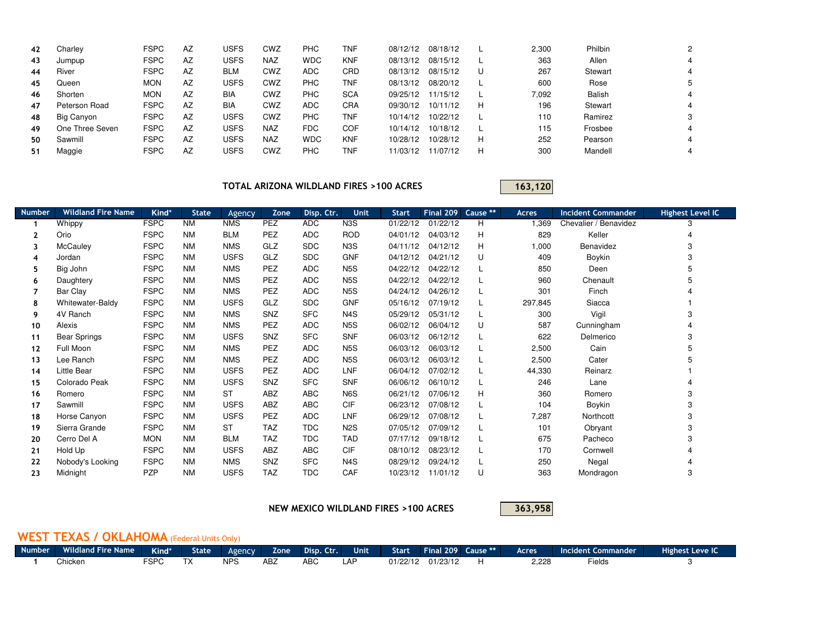| 42 | Charley         | <b>FSPC</b> | AZ | USFS       | CWZ        | PHC        | TNF        | 08/12/12 | 08/18/12 |   | 2,300 | Philbin |   |
|----|-----------------|-------------|----|------------|------------|------------|------------|----------|----------|---|-------|---------|---|
| 43 | Jumpup          | <b>FSPC</b> | AZ | USFS       | <b>NAZ</b> | <b>WDC</b> | <b>KNF</b> | 08/13/12 | 08/15/12 |   | 363   | Allen   | 4 |
| 44 | River           | <b>FSPC</b> | AZ | <b>BLM</b> | CWZ        | <b>ADC</b> | CRD        | 08/13/12 | 08/15/12 | U | 267   | Stewart | 4 |
| 45 | Queen           | <b>MON</b>  | AZ | USFS       | CWZ        | <b>PHC</b> | TNF        | 08/13/12 | 08/20/12 |   | 600   | Rose    |   |
| 46 | Shorten         | <b>MON</b>  | AZ | <b>BIA</b> | CWZ        | PHC        | <b>SCA</b> | 09/25/12 | 11/15/12 |   | 7,092 | Balish  | 4 |
| 47 | Peterson Road   | <b>FSPC</b> | AZ | <b>BIA</b> | CWZ        | ADC.       | <b>CRA</b> | 09/30/12 | 10/11/12 | Н | 196   | Stewart | 4 |
| 48 | Big Canyon      | <b>FSPC</b> | AZ | USFS       | CWZ        | PHC        | TNF        | 10/14/12 | 10/22/12 |   | 110   | Ramirez |   |
| 49 | One Three Seven | <b>FSPC</b> | AZ | USFS       | <b>NAZ</b> | <b>FDC</b> | <b>COF</b> | 10/14/12 | 10/18/12 |   | 115   | Frosbee | 4 |
| 50 | Sawmill         | <b>FSPC</b> | AZ | USFS       | <b>NAZ</b> | <b>WDC</b> | <b>KNF</b> | 10/28/12 | 10/28/12 | Н | 252   | Pearson | 4 |
| 51 | Maggie          | <b>FSPC</b> | AZ | USFS       | CWZ        | <b>PHC</b> | <b>TNF</b> | 11/03/12 | 11/07/12 | Н | 300   | Mandell | 4 |

TOTAL ARIZONA WILDLAND FIRES >100 ACRES

163,120

| <b>Number</b> | <b>Wildland Fire Name</b> | Kind*       | <b>State</b> | Agency      | Zone       | Disp. Ctr. | <b>Unit</b>      | <b>Start</b> | Final 209 | Cause ** | Acres   | <b>Incident Commander</b> | <b>Highest Level IC</b> |
|---------------|---------------------------|-------------|--------------|-------------|------------|------------|------------------|--------------|-----------|----------|---------|---------------------------|-------------------------|
|               | Whippy                    | <b>FSPC</b> | <b>NM</b>    | <b>NMS</b>  | PEZ        | <b>ADC</b> | N <sub>3</sub> S | 01/22/12     | 01/22/12  | н        | 1,369   | Chevalier / Benavidez     | З                       |
| $\mathbf{2}$  | Orio                      | <b>FSPC</b> | <b>NM</b>    | <b>BLM</b>  | PEZ        | <b>ADC</b> | <b>ROD</b>       | 04/01/12     | 04/03/12  | н        | 829     | Keller                    |                         |
| 3             | McCauley                  | <b>FSPC</b> | <b>NM</b>    | <b>NMS</b>  | GLZ        | <b>SDC</b> | N3S              | 04/11/12     | 04/12/12  | н        | 1,000   | Benavidez                 | 3                       |
| 4             | Jordan                    | <b>FSPC</b> | <b>NM</b>    | <b>USFS</b> | GLZ        | <b>SDC</b> | <b>GNF</b>       | 04/12/12     | 04/21/12  | U        | 409     | Boykin                    | 3                       |
| 5.            | Big John                  | <b>FSPC</b> | <b>NM</b>    | <b>NMS</b>  | PEZ        | <b>ADC</b> | N <sub>5</sub> S | 04/22/12     | 04/22/12  |          | 850     | Deen                      | 5                       |
| 6             | Daughtery                 | <b>FSPC</b> | <b>NM</b>    | <b>NMS</b>  | PEZ        | <b>ADC</b> | N <sub>5</sub> S | 04/22/12     | 04/22/12  |          | 960     | Chenault                  | 5                       |
|               | Bar Clay                  | <b>FSPC</b> | <b>NM</b>    | <b>NMS</b>  | PEZ        | <b>ADC</b> | N <sub>5</sub> S | 04/24/12     | 04/26/12  |          | 301     | Finch                     |                         |
| 8             | Whitewater-Baldy          | <b>FSPC</b> | <b>NM</b>    | <b>USFS</b> | GLZ        | <b>SDC</b> | <b>GNF</b>       | 05/16/12     | 07/19/12  |          | 297,845 | Siacca                    |                         |
| 9             | 4V Ranch                  | <b>FSPC</b> | <b>NM</b>    | <b>NMS</b>  | SNZ        | <b>SFC</b> | N <sub>4</sub> S | 05/29/12     | 05/31/12  |          | 300     | Vigil                     | 3                       |
| 10            | Alexis                    | <b>FSPC</b> | <b>NM</b>    | <b>NMS</b>  | PEZ        | <b>ADC</b> | N <sub>5</sub> S | 06/02/12     | 06/04/12  | U        | 587     | Cunningham                |                         |
| 11            | <b>Bear Springs</b>       | <b>FSPC</b> | <b>NM</b>    | <b>USFS</b> | SNZ        | <b>SFC</b> | <b>SNF</b>       | 06/03/12     | 06/12/12  | L        | 622     | Delmerico                 | 3                       |
| 12            | Full Moon                 | <b>FSPC</b> | <b>NM</b>    | <b>NMS</b>  | PEZ        | <b>ADC</b> | N <sub>5</sub> S | 06/03/12     | 06/03/12  |          | 2,500   | Cain                      | 5                       |
| 13            | Lee Ranch                 | <b>FSPC</b> | <b>NM</b>    | <b>NMS</b>  | PEZ        | <b>ADC</b> | N <sub>5</sub> S | 06/03/12     | 06/03/12  |          | 2,500   | Cater                     | 5                       |
| 14            | Little Bear               | <b>FSPC</b> | <b>NM</b>    | <b>USFS</b> | PEZ        | <b>ADC</b> | LNF              | 06/04/12     | 07/02/12  |          | 44,330  | Reinarz                   |                         |
| 15            | Colorado Peak             | <b>FSPC</b> | <b>NM</b>    | <b>USFS</b> | SNZ        | <b>SFC</b> | <b>SNF</b>       | 06/06/12     | 06/10/12  |          | 246     | Lane                      |                         |
| 16            | Romero                    | <b>FSPC</b> | <b>NM</b>    | <b>ST</b>   | ABZ        | ABC        | N6S              | 06/21/12     | 07/06/12  | Н        | 360     | Romero                    | 3                       |
| 17            | Sawmill                   | <b>FSPC</b> | <b>NM</b>    | <b>USFS</b> | ABZ        | ABC        | <b>CIF</b>       | 06/23/12     | 07/08/12  |          | 104     | Boykin                    | 3                       |
| 18            | Horse Canyon              | <b>FSPC</b> | <b>NM</b>    | <b>USFS</b> | PEZ        | <b>ADC</b> | LNF              | 06/29/12     | 07/08/12  |          | 7,287   | Northcott                 | 3                       |
| 19            | Sierra Grande             | <b>FSPC</b> | <b>NM</b>    | <b>ST</b>   | <b>TAZ</b> | <b>TDC</b> | N <sub>2</sub> S | 07/05/12     | 07/09/12  |          | 101     | Obryant                   | 3                       |
| 20            | Cerro Del A               | <b>MON</b>  | <b>NM</b>    | <b>BLM</b>  | <b>TAZ</b> | <b>TDC</b> | <b>TAD</b>       | 07/17/12     | 09/18/12  |          | 675     | Pacheco                   | 3                       |
| 21            | Hold Up                   | <b>FSPC</b> | <b>NM</b>    | <b>USFS</b> | ABZ        | ABC        | CIF              | 08/10/12     | 08/23/12  | L        | 170     | Cornwell                  |                         |
| 22            | Nobody's Looking          | <b>FSPC</b> | <b>NM</b>    | <b>NMS</b>  | SNZ        | <b>SFC</b> | N <sub>4</sub> S | 08/29/12     | 09/24/12  | L        | 250     | Negal                     |                         |
| 23            | Midnight                  | <b>PZP</b>  | <b>NM</b>    | <b>USFS</b> | <b>TAZ</b> | <b>TDC</b> | CAF              | 10/23/12     | 11/01/12  | U        | 363     | Mondragon                 | 3                       |

NEW MEXICO WILDLAND FIRES >100 ACRES

363,958

## WEST TEXAS / OKLAHOMA (Federal Units Only)

| Number <sup>1</sup> | Wildland Fire Name 1 | Kind*       | <b>State</b>                           | Agency     | Zone :     | Disp. Ctr. | Unit | <b>Start</b> | Final 209 Cause ** | Acres | ident Commander . | Highest Leve IC |
|---------------------|----------------------|-------------|----------------------------------------|------------|------------|------------|------|--------------|--------------------|-------|-------------------|-----------------|
|                     | Chicken              | <b>FSPC</b> | $\overline{\phantom{a}}$<br>$\sqrt{ }$ | <b>NPS</b> | <b>ABZ</b> | ABC        | LAF  | 01/22/12     | 01/23/12           | 2,228 | Fields            |                 |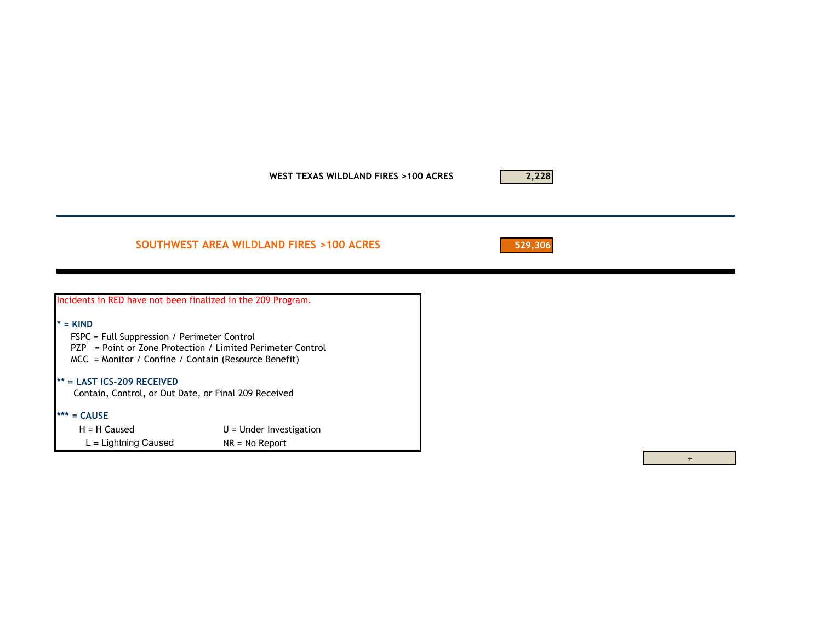WEST TEXAS WILDLAND FIRES >100 ACRES

## SOUTHWEST AREA WILDLAND FIRES >100 ACRES

529,306

2,228

| Incidents in RED have not been finalized in the 209 Program.                                                                                                                    |                           |  |  |  |  |  |
|---------------------------------------------------------------------------------------------------------------------------------------------------------------------------------|---------------------------|--|--|--|--|--|
| $=$ KIND<br>FSPC = Full Suppression / Perimeter Control<br>PZP = Point or Zone Protection / Limited Perimeter Control<br>$MCC$ = Monitor / Confine / Contain (Resource Benefit) |                           |  |  |  |  |  |
| $**$ = LAST ICS-209 RECEIVED<br>Contain, Control, or Out Date, or Final 209 Received                                                                                            |                           |  |  |  |  |  |
| $=$ CAUSE                                                                                                                                                                       |                           |  |  |  |  |  |
| $H = H$ Caused                                                                                                                                                                  | $U =$ Under Investigation |  |  |  |  |  |
| $L =$ Lightning Caused                                                                                                                                                          | $NR = No$ Report          |  |  |  |  |  |

 $+$